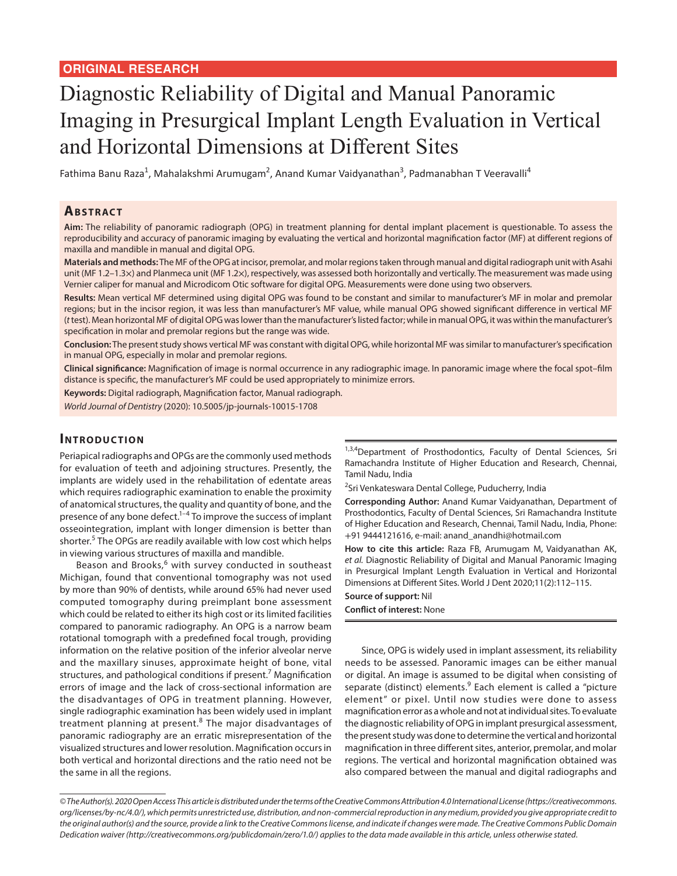# Diagnostic Reliability of Digital and Manual Panoramic Imaging in Presurgical Implant Length Evaluation in Vertical and Horizontal Dimensions at Different Sites

Fathima Banu Raza<sup>1</sup>, Mahalakshmi Arumugam<sup>2</sup>, Anand Kumar Vaidyanathan<sup>3</sup>, Padmanabhan T Veeravalli<sup>4</sup>

#### **ABSTRACT**

**Aim:** The reliability of panoramic radiograph (OPG) in treatment planning for dental implant placement is questionable. To assess the reproducibility and accuracy of panoramic imaging by evaluating the vertical and horizontal magnification factor (MF) at different regions of maxilla and mandible in manual and digital OPG.

**Materials and methods:** The MF of the OPG at incisor, premolar, and molar regions taken through manual and digital radiograph unit with Asahi unit (MF 1.2–1.3×) and Planmeca unit (MF 1.2×), respectively, was assessed both horizontally and vertically. The measurement was made using Vernier caliper for manual and Microdicom Otic software for digital OPG. Measurements were done using two observers.

**Results:** Mean vertical MF determined using digital OPG was found to be constant and similar to manufacturer's MF in molar and premolar regions; but in the incisor region, it was less than manufacturer's MF value, while manual OPG showed significant difference in vertical MF (*t* test). Mean horizontal MF of digital OPG was lower than the manufacturer's listed factor; while in manual OPG, it was within the manufacturer's specification in molar and premolar regions but the range was wide.

**Conclusion:** The present study shows vertical MF was constant with digital OPG, while horizontal MF was similar to manufacturer's specification in manual OPG, especially in molar and premolar regions.

**Clinical significance:** Magnification of image is normal occurrence in any radiographic image. In panoramic image where the focal spot–film distance is specific, the manufacturer's MF could be used appropriately to minimize errors.

**Keywords:** Digital radiograph, Magnification factor, Manual radiograph.

*World Journal of Dentistry* (2020): 10.5005/jp-journals-10015-1708

#### **INTRODUCTION**

Periapical radiographs and OPGs are the commonly used methods for evaluation of teeth and adjoining structures. Presently, the implants are widely used in the rehabilitation of edentate areas which requires radiographic examination to enable the proximity of anatomical structures, the quality and quantity of bone, and the presence of any bone defect. $1-4$  To improve the success of implant osseointegration, implant with longer dimension is better than shorter.<sup>5</sup> The OPGs are readily available with low cost which helps in viewing various structures of maxilla and mandible.

Beason and Brooks,<sup>6</sup> with survey conducted in southeast Michigan, found that conventional tomography was not used by more than 90% of dentists, while around 65% had never used computed tomography during preimplant bone assessment which could be related to either its high cost or its limited facilities compared to panoramic radiography. An OPG is a narrow beam rotational tomograph with a predefined focal trough, providing information on the relative position of the inferior alveolar nerve and the maxillary sinuses, approximate height of bone, vital structures, and pathological conditions if present.<sup>7</sup> Magnification errors of image and the lack of cross-sectional information are the disadvantages of OPG in treatment planning. However, single radiographic examination has been widely used in implant treatment planning at present.<sup>8</sup> The major disadvantages of panoramic radiography are an erratic misrepresentation of the visualized structures and lower resolution. Magnification occurs in both vertical and horizontal directions and the ratio need not be the same in all the regions.

1,3,4Department of Prosthodontics, Faculty of Dental Sciences, Sri Ramachandra Institute of Higher Education and Research, Chennai, Tamil Nadu, India

<sup>2</sup>Sri Venkateswara Dental College, Puducherry, India

**Corresponding Author:** Anand Kumar Vaidyanathan, Department of Prosthodontics, Faculty of Dental Sciences, Sri Ramachandra Institute of Higher Education and Research, Chennai, Tamil Nadu, India, Phone: +91 9444121616, e-mail: anand\_anandhi@hotmail.com

**How to cite this article:** Raza FB, Arumugam M, Vaidyanathan AK, *et al.* Diagnostic Reliability of Digital and Manual Panoramic Imaging in Presurgical Implant Length Evaluation in Vertical and Horizontal Dimensions at Different Sites. World J Dent 2020;11(2):112–115.

### **Source of support:** Nil

**Conflict of interest:** None

Since, OPG is widely used in implant assessment, its reliability needs to be assessed. Panoramic images can be either manual or digital. An image is assumed to be digital when consisting of separate (distinct) elements.<sup>9</sup> Each element is called a "picture element" or pixel. Until now studies were done to assess magnification error as a whole and not at individual sites. To evaluate the diagnostic reliability of OPG in implant presurgical assessment, the present study was done to determine the vertical and horizontal magnification in three different sites, anterior, premolar, and molar regions. The vertical and horizontal magnification obtained was also compared between the manual and digital radiographs and

*© The Author(s). 2020 Open Access This article is distributed under the terms of the Creative Commons Attribution 4.0 International License (https://creativecommons. org/licenses/by-nc/4.0/), which permits unrestricted use, distribution, and non-commercial reproduction in any medium, provided you give appropriate credit to the original author(s) and the source, provide a link to the Creative Commons license, and indicate if changes were made. The Creative Commons Public Domain Dedication waiver (http://creativecommons.org/publicdomain/zero/1.0/) applies to the data made available in this article, unless otherwise stated.*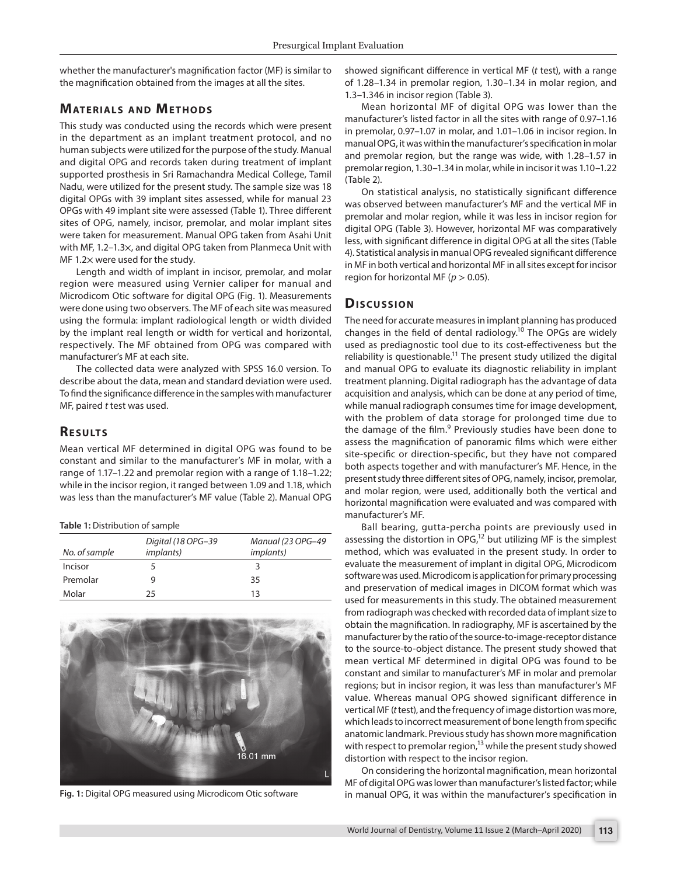whether the manufacturer's magnification factor (MF) is similar to the magnification obtained from the images at all the sites.

# **MATERIALS AND METHODS**

This study was conducted using the records which were present in the department as an implant treatment protocol, and no human subjects were utilized for the purpose of the study. Manual and digital OPG and records taken during treatment of implant supported prosthesis in Sri Ramachandra Medical College, Tamil Nadu, were utilized for the present study. The sample size was 18 digital OPGs with 39 implant sites assessed, while for manual 23 OPGs with 49 implant site were assessed (Table 1). Three different sites of OPG, namely, incisor, premolar, and molar implant sites were taken for measurement. Manual OPG taken from Asahi Unit with MF, 1.2–1.3×, and digital OPG taken from Planmeca Unit with MF 1.2× were used for the study.

Length and width of implant in incisor, premolar, and molar region were measured using Vernier caliper for manual and Microdicom Otic software for digital OPG (Fig. 1). Measurements were done using two observers. The MF of each site was measured using the formula: implant radiological length or width divided by the implant real length or width for vertical and horizontal, respectively. The MF obtained from OPG was compared with manufacturer's MF at each site.

The collected data were analyzed with SPSS 16.0 version. To describe about the data, mean and standard deviation were used. To find the significance difference in the samples with manufacturer MF, paired *t* test was used.

## **RESULTS**

Mean vertical MF determined in digital OPG was found to be constant and similar to the manufacturer's MF in molar, with a range of 1.17–1.22 and premolar region with a range of 1.18–1.22; while in the incisor region, it ranged between 1.09 and 1.18, which was less than the manufacturer's MF value (Table 2). Manual OPG

| Table 1: Distribution of sample |
|---------------------------------|
|---------------------------------|

| No. of sample | Digital (18 OPG-39<br><i>implants</i> ) | Manual (23 OPG-49<br><i>implants</i> ) |
|---------------|-----------------------------------------|----------------------------------------|
| Incisor       |                                         | ₹                                      |
| Premolar      |                                         | 35                                     |
| Molar         | 25                                      | 13                                     |



**Fig. 1:** Digital OPG measured using Microdicom Otic software

showed significant difference in vertical MF (*t* test), with a range of 1.28–1.34 in premolar region, 1.30–1.34 in molar region, and 1.3–1.346 in incisor region (Table 3).

Mean horizontal MF of digital OPG was lower than the manufacturer's listed factor in all the sites with range of 0.97–1.16 in premolar, 0.97–1.07 in molar, and 1.01–1.06 in incisor region. In manual OPG, it was within the manufacturer's specification in molar and premolar region, but the range was wide, with 1.28–1.57 in premolar region, 1.30–1.34 in molar, while in incisor it was 1.10–1.22 (Table 2).

On statistical analysis, no statistically significant difference was observed between manufacturer's MF and the vertical MF in premolar and molar region, while it was less in incisor region for digital OPG (Table 3). However, horizontal MF was comparatively less, with significant difference in digital OPG at all the sites (Table 4). Statistical analysis in manual OPG revealed significant difference in MF in both vertical and horizontal MF in all sites except for incisor region for horizontal MF ( $p > 0.05$ ).

# **Dis c u s sio n**

The need for accurate measures in implant planning has produced changes in the field of dental radiology.<sup>10</sup> The OPGs are widely used as prediagnostic tool due to its cost-effectiveness but the reliability is questionable.<sup>11</sup> The present study utilized the digital and manual OPG to evaluate its diagnostic reliability in implant treatment planning. Digital radiograph has the advantage of data acquisition and analysis, which can be done at any period of time, while manual radiograph consumes time for image development, with the problem of data storage for prolonged time due to the damage of the film.<sup>9</sup> Previously studies have been done to assess the magnification of panoramic films which were either site-specific or direction-specific, but they have not compared both aspects together and with manufacturer's MF. Hence, in the present study three different sites of OPG, namely, incisor, premolar, and molar region, were used, additionally both the vertical and horizontal magnification were evaluated and was compared with manufacturer's MF.

Ball bearing, gutta-percha points are previously used in assessing the distortion in  $OPG<sub>1</sub><sup>12</sup>$  but utilizing MF is the simplest method, which was evaluated in the present study. In order to evaluate the measurement of implant in digital OPG, Microdicom software was used. Microdicom is application for primary processing and preservation of medical images in DICOM format which was used for measurements in this study. The obtained measurement from radiograph was checked with recorded data of implant size to obtain the magnification. In radiography, MF is ascertained by the manufacturer by the ratio of the source-to-image-receptor distance to the source-to-object distance. The present study showed that mean vertical MF determined in digital OPG was found to be constant and similar to manufacturer's MF in molar and premolar regions; but in incisor region, it was less than manufacturer's MF value. Whereas manual OPG showed significant difference in vertical MF (*t* test), and the frequency of image distortion was more, which leads to incorrect measurement of bone length from specific anatomic landmark. Previous study has shown more magnification with respect to premolar region,<sup>13</sup> while the present study showed distortion with respect to the incisor region.

On considering the horizontal magnification, mean horizontal MF of digital OPG was lower than manufacturer's listed factor; while in manual OPG, it was within the manufacturer's specification in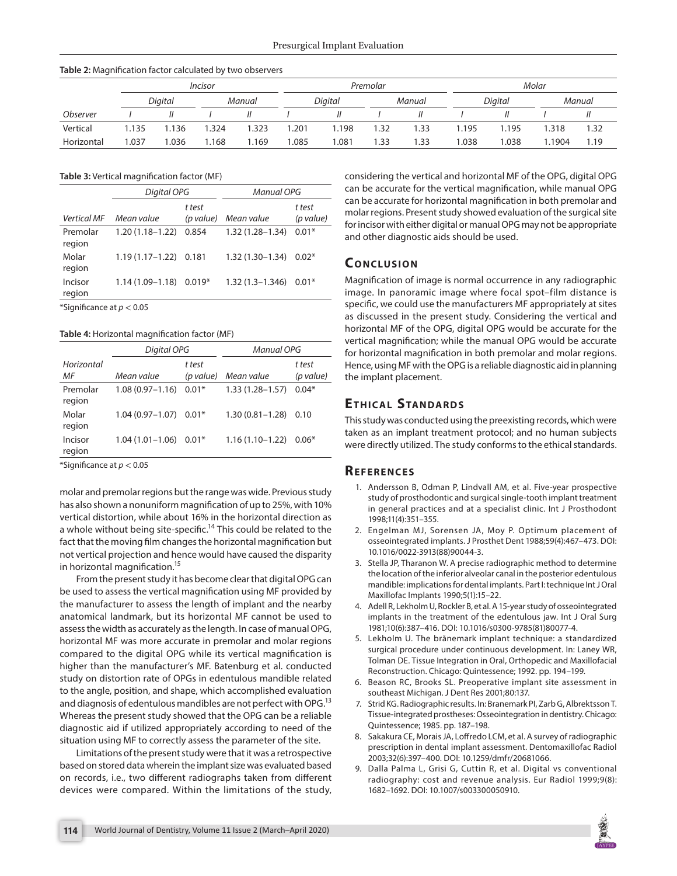|                 | <i><u><b>Incisor</b></u></i> |         |      | Premolar |       |                |      | Molar  |      |         |        |        |
|-----------------|------------------------------|---------|------|----------|-------|----------------|------|--------|------|---------|--------|--------|
|                 |                              | Digital |      | Manual   |       | <b>Diaital</b> |      | Manual |      | Digital |        | Manual |
| <b>Observer</b> |                              |         |      |          |       |                |      |        |      |         |        |        |
| Vertical        | 1.135                        | 1.136   | .324 | .323     | 1.201 | 1.198          | 1.32 | 1.33   | .195 | .195    | .318   | 1.32   |
| Horizontal      | 1.037                        | 1.036   | .168 | .169     | 1.085 | 1.081          | 1.33 | .33    | .038 | 0.038   | 1.1904 | 1.19   |

#### **Table 2:** Magnification factor calculated by two observers

**Table 3:** Vertical magnification factor (MF)

|                    | Digital OPG         |                     | <b>Manual OPG</b>   |                     |  |  |
|--------------------|---------------------|---------------------|---------------------|---------------------|--|--|
| <b>Vertical MF</b> | Mean value          | t test<br>(p value) | Mean value          | t test<br>(p value) |  |  |
| Premolar<br>region | $1.20(1.18 - 1.22)$ | 0.854               | $1.32(1.28 - 1.34)$ | $0.01*$             |  |  |
| Molar<br>region    | $1.19(1.17 - 1.22)$ | 0.181               | $1.32(1.30 - 1.34)$ | $0.02*$             |  |  |
| Incisor<br>region  | $1.14(1.09 - 1.18)$ | $0.019*$            | $1.32(1.3 - 1.346)$ | $0.01*$             |  |  |

\*Significance at *p* < 0.05

**Table 4:** Horizontal magnification factor (MF)

|                    | Digital OPG         |                     | <b>Manual OPG</b>   |                     |  |
|--------------------|---------------------|---------------------|---------------------|---------------------|--|
| Horizontal<br>ΜF   | Mean value          | t test<br>(p value) | Mean value          | t test<br>(p value) |  |
| Premolar<br>region | $1.08(0.97 - 1.16)$ | $0.01*$             | $1.33(1.28 - 1.57)$ | $0.04*$             |  |
| Molar<br>region    | $1.04(0.97 - 1.07)$ | $0.01*$             | $1.30(0.81 - 1.28)$ | 0.10                |  |
| Incisor<br>region  | $1.04(1.01 - 1.06)$ | $0.01*$             | $1.16(1.10-1.22)$   | $0.06*$             |  |

\*Significance at *p* < 0.05

molar and premolar regions but the range was wide. Previous study has also shown a nonuniform magnification of up to 25%, with 10% vertical distortion, while about 16% in the horizontal direction as a whole without being site-specific.<sup>14</sup> This could be related to the fact that the moving film changes the horizontal magnification but not vertical projection and hence would have caused the disparity in horizontal magnification.<sup>15</sup>

From the present study it has become clear that digital OPG can be used to assess the vertical magnification using MF provided by the manufacturer to assess the length of implant and the nearby anatomical landmark, but its horizontal MF cannot be used to assess the width as accurately as the length. In case of manual OPG, horizontal MF was more accurate in premolar and molar regions compared to the digital OPG while its vertical magnification is higher than the manufacturer's MF. Batenburg et al. conducted study on distortion rate of OPGs in edentulous mandible related to the angle, position, and shape, which accomplished evaluation and diagnosis of edentulous mandibles are not perfect with OPG.<sup>13</sup> Whereas the present study showed that the OPG can be a reliable diagnostic aid if utilized appropriately according to need of the situation using MF to correctly assess the parameter of the site.

Limitations of the present study were that it was a retrospective based on stored data wherein the implant size was evaluated based on records, i.e., two different radiographs taken from different devices were compared. Within the limitations of the study, considering the vertical and horizontal MF of the OPG, digital OPG can be accurate for the vertical magnification, while manual OPG can be accurate for horizontal magnification in both premolar and molar regions. Present study showed evaluation of the surgical site for incisor with either digital or manual OPG may not be appropriate and other diagnostic aids should be used.

# **CONCLUSION**

Magnification of image is normal occurrence in any radiographic image. In panoramic image where focal spot–film distance is specific, we could use the manufacturers MF appropriately at sites as discussed in the present study. Considering the vertical and horizontal MF of the OPG, digital OPG would be accurate for the vertical magnification; while the manual OPG would be accurate for horizontal magnification in both premolar and molar regions. Hence, using MF with the OPG is a reliable diagnostic aid in planning the implant placement.

# **ETHICAL STANDARDS**

This study was conducted using the preexisting records, which were taken as an implant treatment protocol; and no human subjects were directly utilized. The study conforms to the ethical standards.

### **Re f e r e n c e s**

- 1. Andersson B, Odman P, Lindvall AM, et al. Five-year prospective study of prosthodontic and surgical single-tooth implant treatment in general practices and at a specialist clinic. Int J Prosthodont 1998;11(4):351–355.
- 2. Engelman MJ, Sorensen JA, Moy P. Optimum placement of osseointegrated implants. J Prosthet Dent 1988;59(4):467–473. DOI: 10.1016/0022-3913(88)90044-3.
- 3. Stella JP, Tharanon W. A precise radiographic method to determine the location of the inferior alveolar canal in the posterior edentulous mandible: implications for dental implants. Part I: technique Int J Oral Maxillofac Implants 1990;5(1):15–22.
- 4. Adell R, Lekholm U, Rockler B, et al. A 15-year study of osseointegrated implants in the treatment of the edentulous jaw. Int J Oral Surg 1981;10(6):387–416. DOI: 10.1016/s0300-9785(81)80077-4.
- 5. Lekholm U. The brånemark implant technique: a standardized surgical procedure under continuous development. In: Laney WR, Tolman DE. Tissue Integration in Oral, Orthopedic and Maxillofacial Reconstruction. Chicago: Quintessence; 1992. pp. 194–199.
- 6. Beason RC, Brooks SL. Preoperative implant site assessment in southeast Michigan. J Dent Res 2001;80:137.
- 7. Strid KG. Radiographic results. In: Branemark PI, Zarb G, Albrektsson T. Tissue-integrated prostheses: Osseointegration in dentistry. Chicago: Quintessence; 1985. pp. 187–198.
- 8. Sakakura CE, Morais JA, Loffredo LCM, et al. A survey of radiographic prescription in dental implant assessment. Dentomaxillofac Radiol 2003;32(6):397–400. DOI: 10.1259/dmfr/20681066.
- 9. Dalla Palma L, Grisi G, Cuttin R, et al. Digital vs conventional radiography: cost and revenue analysis. Eur Radiol 1999;9(8): 1682–1692. DOI: 10.1007/s003300050910.